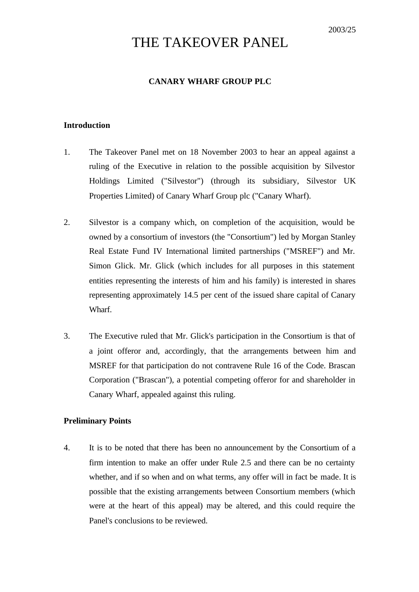# THE TAKEOVER PANEL

#### **CANARY WHARF GROUP PLC**

#### **Introduction**

- 1. The Takeover Panel met on 18 November 2003 to hear an appeal against a ruling of the Executive in relation to the possible acquisition by Silvestor Holdings Limited ("Silvestor") (through its subsidiary, Silvestor UK Properties Limited) of Canary Wharf Group plc ("Canary Wharf).
- 2. Silvestor is a company which, on completion of the acquisition, would be owned by a consortium of investors (the "Consortium") led by Morgan Stanley Real Estate Fund IV International limited partnerships ("MSREF") and Mr. Simon Glick. Mr. Glick (which includes for all purposes in this statement entities representing the interests of him and his family) is interested in shares representing approximately 14.5 per cent of the issued share capital of Canary Wharf.
- 3. The Executive ruled that Mr. Glick's participation in the Consortium is that of a joint offeror and, accordingly, that the arrangements between him and MSREF for that participation do not contravene Rule 16 of the Code. Brascan Corporation ("Brascan"), a potential competing offeror for and shareholder in Canary Wharf, appealed against this ruling.

## **Preliminary Points**

4. It is to be noted that there has been no announcement by the Consortium of a firm intention to make an offer under Rule 2.5 and there can be no certainty whether, and if so when and on what terms, any offer will in fact be made. It is possible that the existing arrangements between Consortium members (which were at the heart of this appeal) may be altered, and this could require the Panel's conclusions to be reviewed.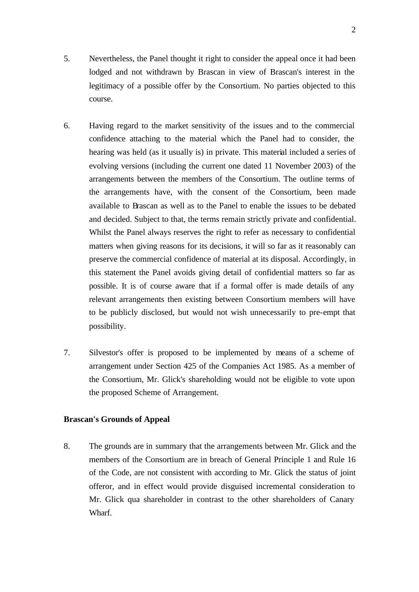- 5. Nevertheless, the Panel thought it right to consider the appeal once it had been lodged and not withdrawn by Brascan in view of Brascan's interest in the legitimacy of a possible offer by the Consortium. No parties objected to this course.
- 6. Having regard to the market sensitivity of the issues and to the commercial confidence attaching to the material which the Panel had to consider, the hearing was held (as it usually is) in private. This material included a series of evolving versions (including the current one dated 11 November 2003) of the arrangements between the members of the Consortium. The outline terms of the arrangements have, with the consent of the Consortium, been made available to Brascan as well as to the Panel to enable the issues to be debated and decided. Subject to that, the terms remain strictly private and confidential. Whilst the Panel always reserves the right to refer as necessary to confidential matters when giving reasons for its decisions, it will so far as it reasonably can preserve the commercial confidence of material at its disposal. Accordingly, in this statement the Panel avoids giving detail of confidential matters so far as possible. It is of course aware that if a formal offer is made details of any relevant arrangements then existing between Consortium members will have to be publicly disclosed, but would not wish unnecessarily to pre-empt that possibility.
- 7. Silvestor's offer is proposed to be implemented by means of a scheme of arrangement under Section 425 of the Companies Act 1985. As a member of the Consortium, Mr. Glick's shareholding would not be eligible to vote upon the proposed Scheme of Arrangement.

#### **Brascan's Grounds of Appeal**

8. The grounds are in summary that the arrangements between Mr. Glick and the members of the Consortium are in breach of General Principle 1 and Rule 16 of the Code, are not consistent with according to Mr. Glick the status of joint offeror, and in effect would provide disguised incremental consideration to Mr. Glick qua shareholder in contrast to the other shareholders of Canary Wharf.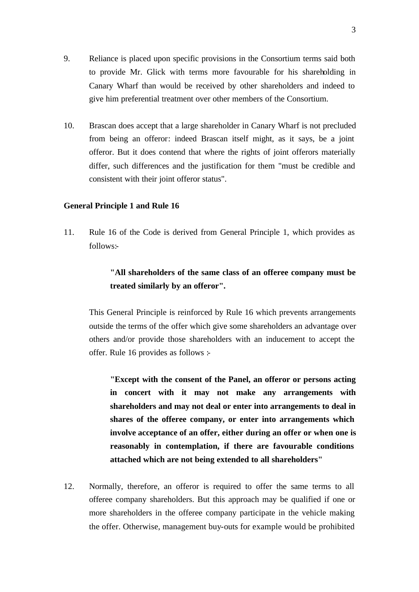- 9. Reliance is placed upon specific provisions in the Consortium terms said both to provide Mr. Glick with terms more favourable for his shareholding in Canary Wharf than would be received by other shareholders and indeed to give him preferential treatment over other members of the Consortium.
- 10. Brascan does accept that a large shareholder in Canary Wharf is not precluded from being an offeror: indeed Brascan itself might, as it says, be a joint offeror. But it does contend that where the rights of joint offerors materially differ, such differences and the justification for them "must be credible and consistent with their joint offeror status".

#### **General Principle 1 and Rule 16**

11. Rule 16 of the Code is derived from General Principle 1, which provides as follows:-

# **"All shareholders of the same class of an offeree company must be treated similarly by an offeror".**

This General Principle is reinforced by Rule 16 which prevents arrangements outside the terms of the offer which give some shareholders an advantage over others and/or provide those shareholders with an inducement to accept the offer. Rule 16 provides as follows :-

**"Except with the consent of the Panel, an offeror or persons acting in concert with it may not make any arrangements with shareholders and may not deal or enter into arrangements to deal in shares of the offeree company, or enter into arrangements which involve acceptance of an offer, either during an offer or when one is reasonably in contemplation, if there are favourable conditions attached which are not being extended to all shareholders"**

12. Normally, therefore, an offeror is required to offer the same terms to all offeree company shareholders. But this approach may be qualified if one or more shareholders in the offeree company participate in the vehicle making the offer. Otherwise, management buy-outs for example would be prohibited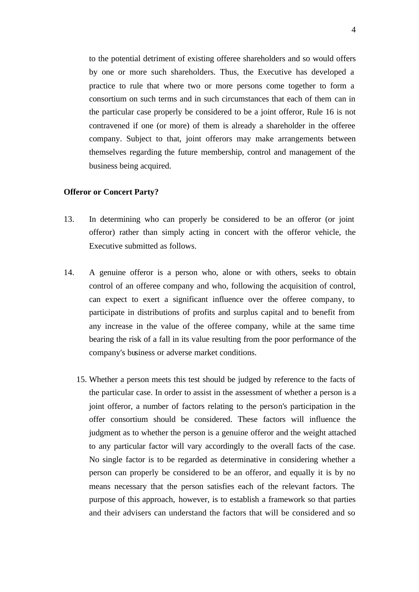to the potential detriment of existing offeree shareholders and so would offers by one or more such shareholders. Thus, the Executive has developed a practice to rule that where two or more persons come together to form a consortium on such terms and in such circumstances that each of them can in the particular case properly be considered to be a joint offeror, Rule 16 is not contravened if one (or more) of them is already a shareholder in the offeree company. Subject to that, joint offerors may make arrangements between themselves regarding the future membership, control and management of the business being acquired.

#### **Offeror or Concert Party?**

- 13. In determining who can properly be considered to be an offeror (or joint offeror) rather than simply acting in concert with the offeror vehicle, the Executive submitted as follows.
- 14. A genuine offeror is a person who, alone or with others, seeks to obtain control of an offeree company and who, following the acquisition of control, can expect to exert a significant influence over the offeree company, to participate in distributions of profits and surplus capital and to benefit from any increase in the value of the offeree company, while at the same time bearing the risk of a fall in its value resulting from the poor performance of the company's business or adverse market conditions.
	- 15. Whether a person meets this test should be judged by reference to the facts of the particular case. In order to assist in the assessment of whether a person is a joint offeror, a number of factors relating to the person's participation in the offer consortium should be considered. These factors will influence the judgment as to whether the person is a genuine offeror and the weight attached to any particular factor will vary accordingly to the overall facts of the case. No single factor is to be regarded as determinative in considering whether a person can properly be considered to be an offeror, and equally it is by no means necessary that the person satisfies each of the relevant factors. The purpose of this approach, however, is to establish a framework so that parties and their advisers can understand the factors that will be considered and so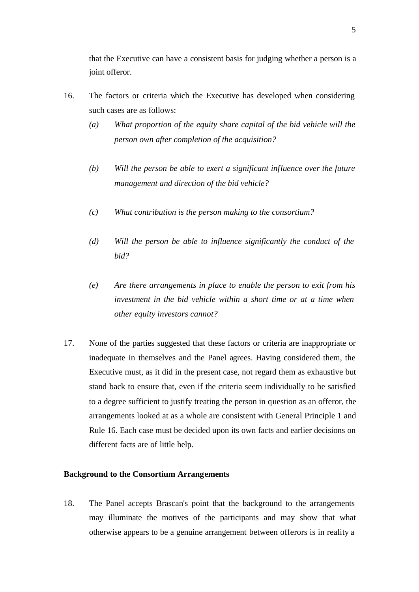that the Executive can have a consistent basis for judging whether a person is a joint offeror.

- 16. The factors or criteria which the Executive has developed when considering such cases are as follows:
	- *(a) What proportion of the equity share capital of the bid vehicle will the person own after completion of the acquisition?*
	- *(b) Will the person be able to exert a significant influence over the future management and direction of the bid vehicle?*
	- *(c) What contribution is the person making to the consortium?*
	- *(d) Will the person be able to influence significantly the conduct of the bid?*
	- *(e) Are there arrangements in place to enable the person to exit from his investment in the bid vehicle within a short time or at a time when other equity investors cannot?*
- 17. None of the parties suggested that these factors or criteria are inappropriate or inadequate in themselves and the Panel agrees. Having considered them, the Executive must, as it did in the present case, not regard them as exhaustive but stand back to ensure that, even if the criteria seem individually to be satisfied to a degree sufficient to justify treating the person in question as an offeror, the arrangements looked at as a whole are consistent with General Principle 1 and Rule 16. Each case must be decided upon its own facts and earlier decisions on different facts are of little help.

#### **Background to the Consortium Arrangements**

18. The Panel accepts Brascan's point that the background to the arrangements may illuminate the motives of the participants and may show that what otherwise appears to be a genuine arrangement between offerors is in reality a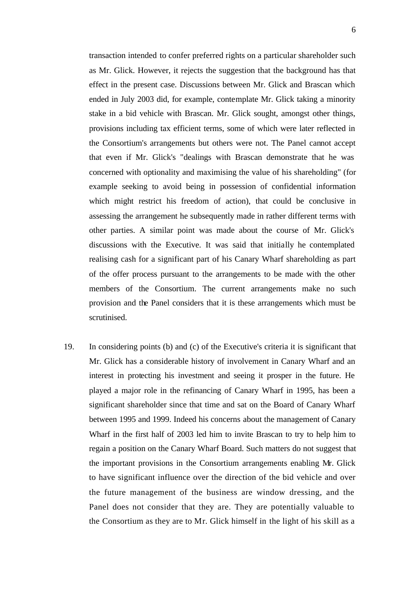transaction intended to confer preferred rights on a particular shareholder such as Mr. Glick. However, it rejects the suggestion that the background has that effect in the present case. Discussions between Mr. Glick and Brascan which ended in July 2003 did, for example, contemplate Mr. Glick taking a minority stake in a bid vehicle with Brascan. Mr. Glick sought, amongst other things, provisions including tax efficient terms, some of which were later reflected in the Consortium's arrangements but others were not. The Panel cannot accept that even if Mr. Glick's "dealings with Brascan demonstrate that he was concerned with optionality and maximising the value of his shareholding" (for example seeking to avoid being in possession of confidential information which might restrict his freedom of action), that could be conclusive in assessing the arrangement he subsequently made in rather different terms with other parties. A similar point was made about the course of Mr. Glick's discussions with the Executive. It was said that initially he contemplated realising cash for a significant part of his Canary Wharf shareholding as part of the offer process pursuant to the arrangements to be made with the other members of the Consortium. The current arrangements make no such provision and the Panel considers that it is these arrangements which must be scrutinised.

19. In considering points (b) and (c) of the Executive's criteria it is significant that Mr. Glick has a considerable history of involvement in Canary Wharf and an interest in protecting his investment and seeing it prosper in the future. He played a major role in the refinancing of Canary Wharf in 1995, has been a significant shareholder since that time and sat on the Board of Canary Wharf between 1995 and 1999. Indeed his concerns about the management of Canary Wharf in the first half of 2003 led him to invite Brascan to try to help him to regain a position on the Canary Wharf Board. Such matters do not suggest that the important provisions in the Consortium arrangements enabling Mr. Glick to have significant influence over the direction of the bid vehicle and over the future management of the business are window dressing, and the Panel does not consider that they are. They are potentially valuable to the Consortium as they are to Mr. Glick himself in the light of his skill as a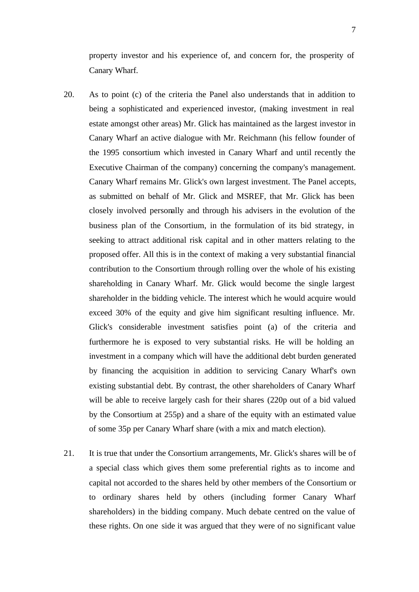property investor and his experience of, and concern for, the prosperity of Canary Wharf.

- 20. As to point (c) of the criteria the Panel also understands that in addition to being a sophisticated and experienced investor, (making investment in real estate amongst other areas) Mr. Glick has maintained as the largest investor in Canary Wharf an active dialogue with Mr. Reichmann (his fellow founder of the 1995 consortium which invested in Canary Wharf and until recently the Executive Chairman of the company) concerning the company's management. Canary Wharf remains Mr. Glick's own largest investment. The Panel accepts, as submitted on behalf of Mr. Glick and MSREF, that Mr. Glick has been closely involved personally and through his advisers in the evolution of the business plan of the Consortium, in the formulation of its bid strategy, in seeking to attract additional risk capital and in other matters relating to the proposed offer. All this is in the context of making a very substantial financial contribution to the Consortium through rolling over the whole of his existing shareholding in Canary Wharf. Mr. Glick would become the single largest shareholder in the bidding vehicle. The interest which he would acquire would exceed 30% of the equity and give him significant resulting influence. Mr. Glick's considerable investment satisfies point (a) of the criteria and furthermore he is exposed to very substantial risks. He will be holding an investment in a company which will have the additional debt burden generated by financing the acquisition in addition to servicing Canary Wharf's own existing substantial debt. By contrast, the other shareholders of Canary Wharf will be able to receive largely cash for their shares (220p out of a bid valued by the Consortium at 255p) and a share of the equity with an estimated value of some 35p per Canary Wharf share (with a mix and match election).
- 21. It is true that under the Consortium arrangements, Mr. Glick's shares will be of a special class which gives them some preferential rights as to income and capital not accorded to the shares held by other members of the Consortium or to ordinary shares held by others (including former Canary Wharf shareholders) in the bidding company. Much debate centred on the value of these rights. On one side it was argued that they were of no significant value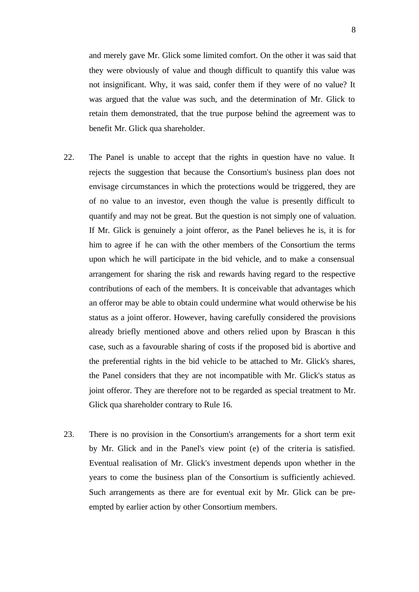and merely gave Mr. Glick some limited comfort. On the other it was said that they were obviously of value and though difficult to quantify this value was not insignificant. Why, it was said, confer them if they were of no value? It was argued that the value was such, and the determination of Mr. Glick to retain them demonstrated, that the true purpose behind the agreement was to benefit Mr. Glick qua shareholder.

- 22. The Panel is unable to accept that the rights in question have no value. It rejects the suggestion that because the Consortium's business plan does not envisage circumstances in which the protections would be triggered, they are of no value to an investor, even though the value is presently difficult to quantify and may not be great. But the question is not simply one of valuation. If Mr. Glick is genuinely a joint offeror, as the Panel believes he is, it is for him to agree if he can with the other members of the Consortium the terms upon which he will participate in the bid vehicle, and to make a consensual arrangement for sharing the risk and rewards having regard to the respective contributions of each of the members. It is conceivable that advantages which an offeror may be able to obtain could undermine what would otherwise be his status as a joint offeror. However, having carefully considered the provisions already briefly mentioned above and others relied upon by Brascan in this case, such as a favourable sharing of costs if the proposed bid is abortive and the preferential rights in the bid vehicle to be attached to Mr. Glick's shares, the Panel considers that they are not incompatible with Mr. Glick's status as joint offeror. They are therefore not to be regarded as special treatment to Mr. Glick qua shareholder contrary to Rule 16.
- 23. There is no provision in the Consortium's arrangements for a short term exit by Mr. Glick and in the Panel's view point (e) of the criteria is satisfied. Eventual realisation of Mr. Glick's investment depends upon whether in the years to come the business plan of the Consortium is sufficiently achieved. Such arrangements as there are for eventual exit by Mr. Glick can be preempted by earlier action by other Consortium members.